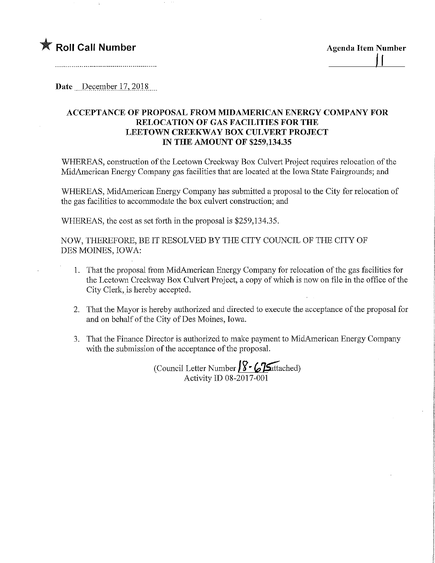## **The Roll Call Number** Agenda Item Number

Date December 17, 2018

## ACCEPTANCE OF PROPOSAL FROM MIDAMERICAN ENERGY COMPANY FOR RELOCATION OF GAS FACILITIES FOR THE LEETOWN CREEKWAY BOX CULVERT PROJECT IN THE AMOUNT OF \$259,134.35

WHEREAS, construction of the Leetown Creekway Box Culvert Project requires relocation of the MidAmerican Energy Company gas facilities that are located at the Iowa State Fairgrounds; and

WHEREAS, MidAmerican Energy Company has submitted a proposal to the City for relocation of the gas facilities to accommodate the box culvert construction; and

WHEREAS, the cost as set forth in the proposal is \$259,134.35.

NOW, THEREFORE, BE IT RESOLVED BY THE CITY COUNCIL OF THE CITY OF DES MOINES, IOWA:

- 1. That the proposal from MidAmerican Energy Company for relocation of the gas facilities for the Leetown Creekway Box Culvert Project, a copy of which is now on file in the office of the City Clerk, is hereby accepted.
- 2. That the Mayor is hereby authorized and directed to execute the acceptance of the proposal for and on behalf of the City of Des Moines, Iowa.
- 3. That the Finance Director is authorized to make payment to MidAmerican Energy Company with the submission of the acceptance of the proposal.

(Council Letter Number  $\sqrt{\frac{8}{5}}$   $\sqrt{25}$ attached) Activity ID 08-2017-001